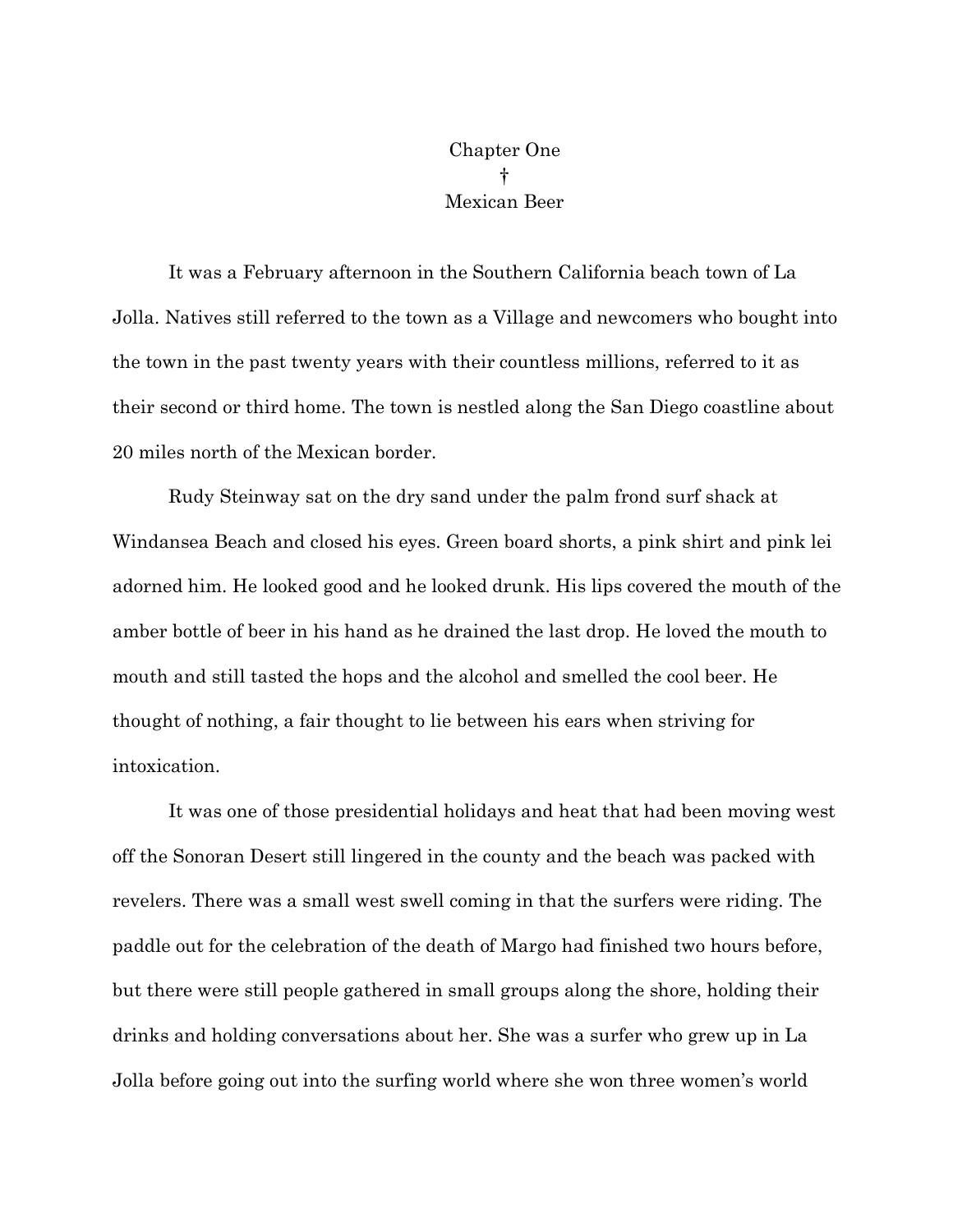Chapter One † Mexican Beer

It was a February afternoon in the Southern California beach town of La Jolla. Natives still referred to the town as a Village and newcomers who bought into the town in the past twenty years with their countless millions, referred to it as their second or third home. The town is nestled along the San Diego coastline about 20 miles north of the Mexican border.

Rudy Steinway sat on the dry sand under the palm frond surf shack at Windansea Beach and closed his eyes. Green board shorts, a pink shirt and pink lei adorned him. He looked good and he looked drunk. His lips covered the mouth of the amber bottle of beer in his hand as he drained the last drop. He loved the mouth to mouth and still tasted the hops and the alcohol and smelled the cool beer. He thought of nothing, a fair thought to lie between his ears when striving for intoxication.

It was one of those presidential holidays and heat that had been moving west off the Sonoran Desert still lingered in the county and the beach was packed with revelers. There was a small west swell coming in that the surfers were riding. The paddle out for the celebration of the death of Margo had finished two hours before, but there were still people gathered in small groups along the shore, holding their drinks and holding conversations about her. She was a surfer who grew up in La Jolla before going out into the surfing world where she won three women's world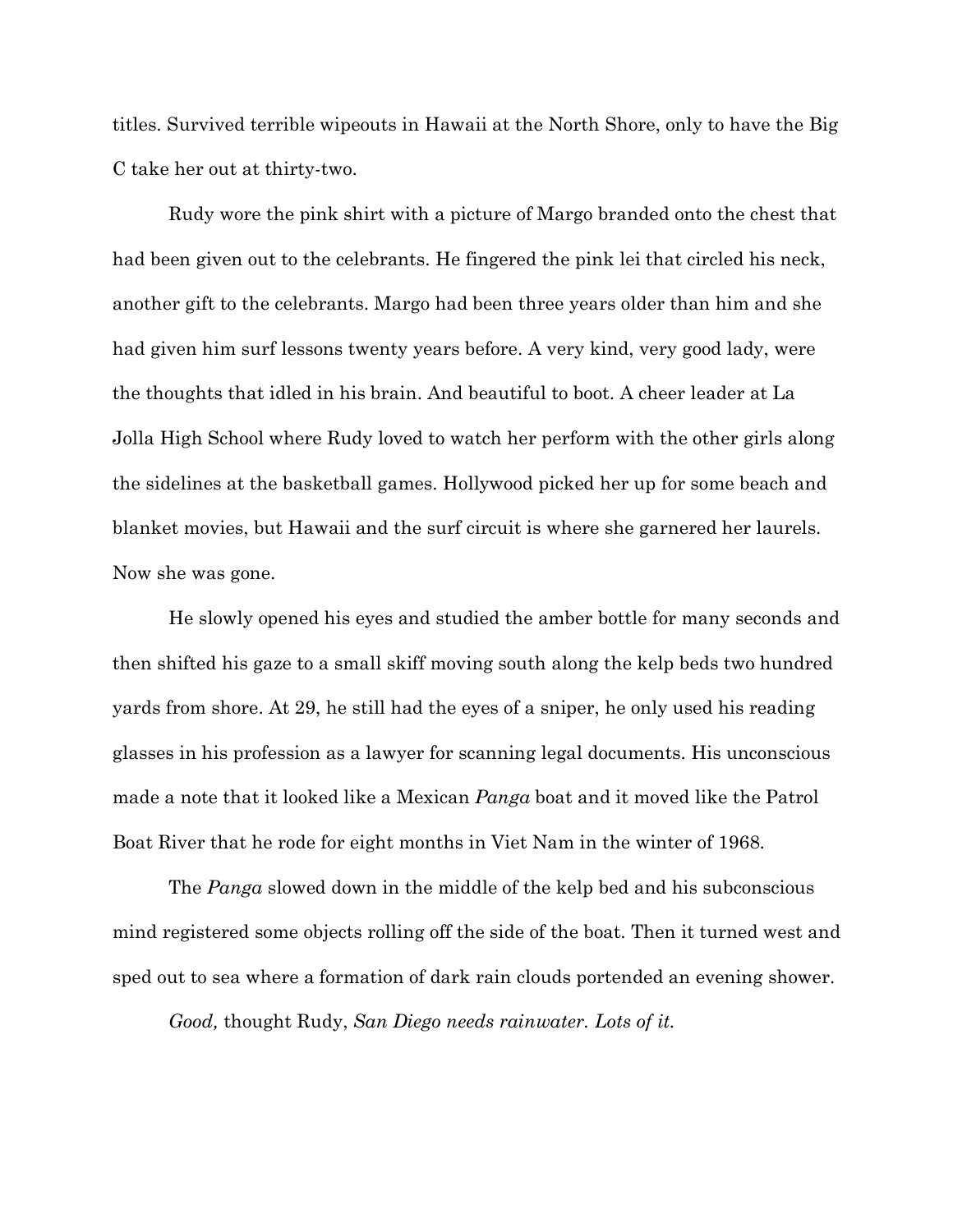titles. Survived terrible wipeouts in Hawaii at the North Shore, only to have the Big C take her out at thirty-two.

Rudy wore the pink shirt with a picture of Margo branded onto the chest that had been given out to the celebrants. He fingered the pink lei that circled his neck, another gift to the celebrants. Margo had been three years older than him and she had given him surf lessons twenty years before. A very kind, very good lady, were the thoughts that idled in his brain. And beautiful to boot. A cheer leader at La Jolla High School where Rudy loved to watch her perform with the other girls along the sidelines at the basketball games. Hollywood picked her up for some beach and blanket movies, but Hawaii and the surf circuit is where she garnered her laurels. Now she was gone.

He slowly opened his eyes and studied the amber bottle for many seconds and then shifted his gaze to a small skiff moving south along the kelp beds two hundred yards from shore. At 29, he still had the eyes of a sniper, he only used his reading glasses in his profession as a lawyer for scanning legal documents. His unconscious made a note that it looked like a Mexican *Panga* boat and it moved like the Patrol Boat River that he rode for eight months in Viet Nam in the winter of 1968.

The *Panga* slowed down in the middle of the kelp bed and his subconscious mind registered some objects rolling off the side of the boat. Then it turned west and sped out to sea where a formation of dark rain clouds portended an evening shower.

*Good,* thought Rudy, *San Diego needs rainwater. Lots of it.*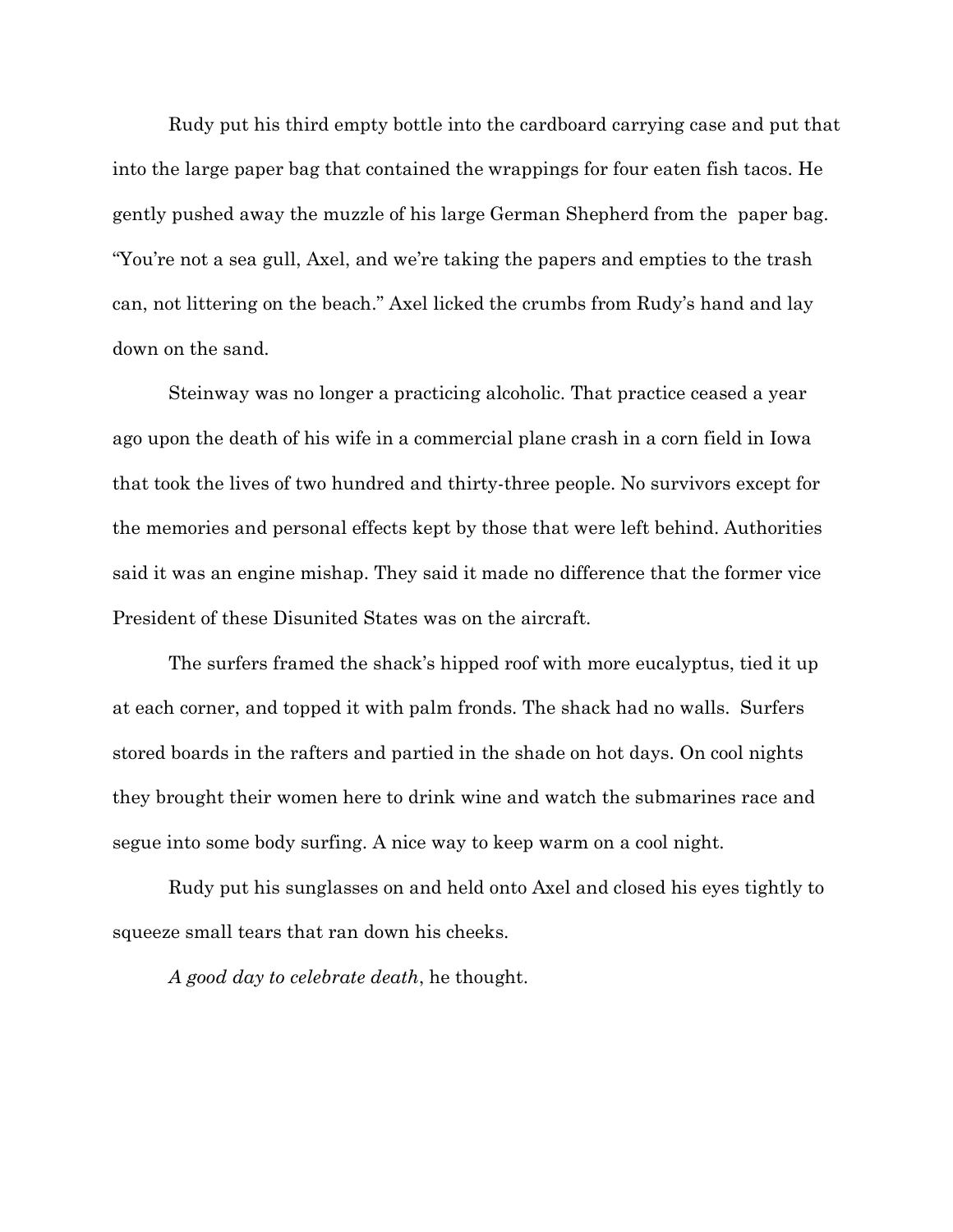Rudy put his third empty bottle into the cardboard carrying case and put that into the large paper bag that contained the wrappings for four eaten fish tacos. He gently pushed away the muzzle of his large German Shepherd from the paper bag. "You're not a sea gull, Axel, and we're taking the papers and empties to the trash can, not littering on the beach." Axel licked the crumbs from Rudy's hand and lay down on the sand.

Steinway was no longer a practicing alcoholic. That practice ceased a year ago upon the death of his wife in a commercial plane crash in a corn field in Iowa that took the lives of two hundred and thirty-three people. No survivors except for the memories and personal effects kept by those that were left behind. Authorities said it was an engine mishap. They said it made no difference that the former vice President of these Disunited States was on the aircraft.

The surfers framed the shack's hipped roof with more eucalyptus, tied it up at each corner, and topped it with palm fronds. The shack had no walls. Surfers stored boards in the rafters and partied in the shade on hot days. On cool nights they brought their women here to drink wine and watch the submarines race and segue into some body surfing. A nice way to keep warm on a cool night.

Rudy put his sunglasses on and held onto Axel and closed his eyes tightly to squeeze small tears that ran down his cheeks.

*A good day to celebrate death*, he thought.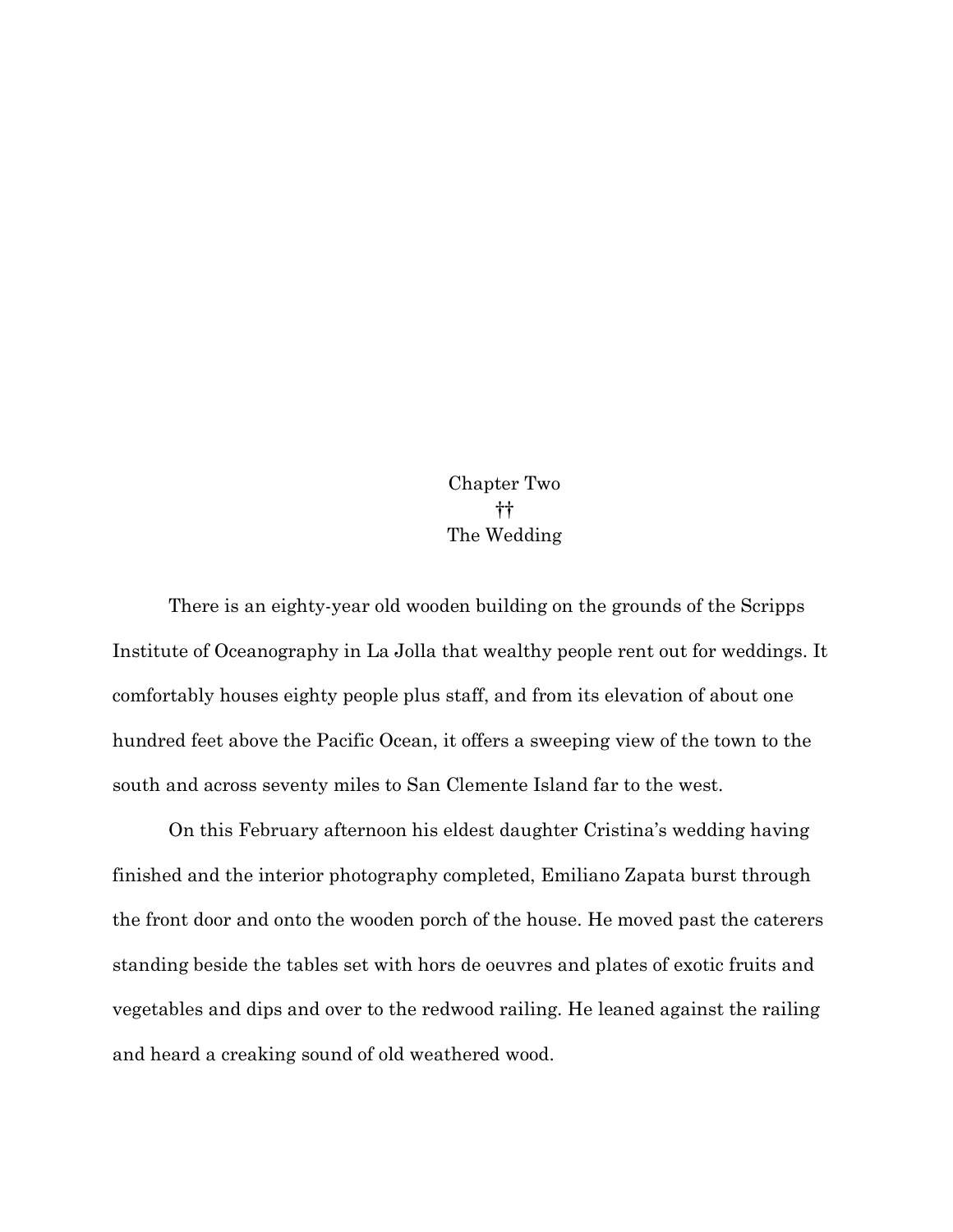Chapter Two †† The Wedding

There is an eighty-year old wooden building on the grounds of the Scripps Institute of Oceanography in La Jolla that wealthy people rent out for weddings. It comfortably houses eighty people plus staff, and from its elevation of about one hundred feet above the Pacific Ocean, it offers a sweeping view of the town to the south and across seventy miles to San Clemente Island far to the west.

On this February afternoon his eldest daughter Cristina's wedding having finished and the interior photography completed, Emiliano Zapata burst through the front door and onto the wooden porch of the house. He moved past the caterers standing beside the tables set with hors de oeuvres and plates of exotic fruits and vegetables and dips and over to the redwood railing. He leaned against the railing and heard a creaking sound of old weathered wood.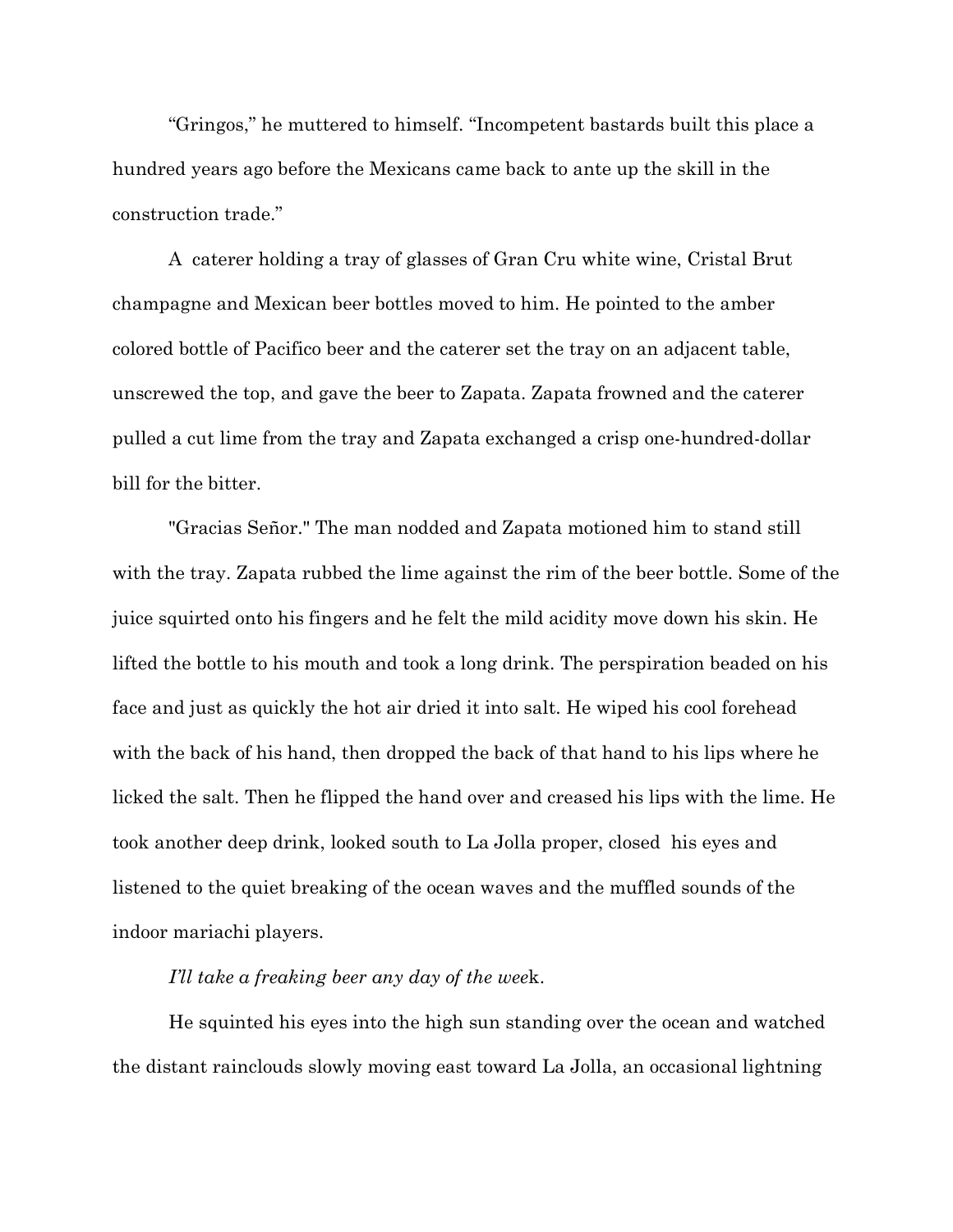"Gringos," he muttered to himself. "Incompetent bastards built this place a hundred years ago before the Mexicans came back to ante up the skill in the construction trade."

A caterer holding a tray of glasses of Gran Cru white wine, Cristal Brut champagne and Mexican beer bottles moved to him. He pointed to the amber colored bottle of Pacifico beer and the caterer set the tray on an adjacent table, unscrewed the top, and gave the beer to Zapata. Zapata frowned and the caterer pulled a cut lime from the tray and Zapata exchanged a crisp one-hundred-dollar bill for the bitter.

"Gracias Señor." The man nodded and Zapata motioned him to stand still with the tray. Zapata rubbed the lime against the rim of the beer bottle. Some of the juice squirted onto his fingers and he felt the mild acidity move down his skin. He lifted the bottle to his mouth and took a long drink. The perspiration beaded on his face and just as quickly the hot air dried it into salt. He wiped his cool forehead with the back of his hand, then dropped the back of that hand to his lips where he licked the salt. Then he flipped the hand over and creased his lips with the lime. He took another deep drink, looked south to La Jolla proper, closed his eyes and listened to the quiet breaking of the ocean waves and the muffled sounds of the indoor mariachi players.

## *I'll take a freaking beer any day of the wee*k.

He squinted his eyes into the high sun standing over the ocean and watched the distant rainclouds slowly moving east toward La Jolla, an occasional lightning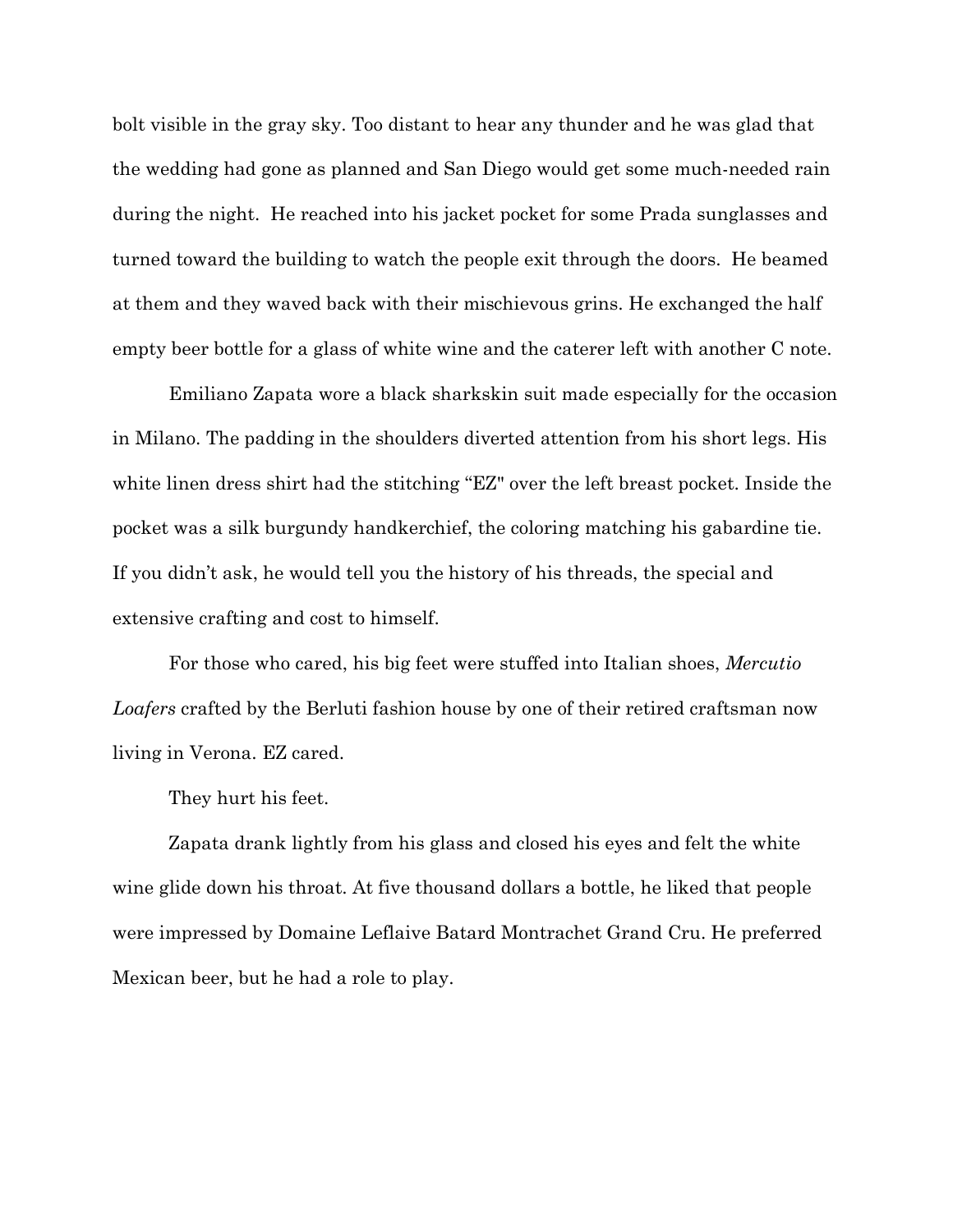bolt visible in the gray sky. Too distant to hear any thunder and he was glad that the wedding had gone as planned and San Diego would get some much-needed rain during the night. He reached into his jacket pocket for some Prada sunglasses and turned toward the building to watch the people exit through the doors. He beamed at them and they waved back with their mischievous grins. He exchanged the half empty beer bottle for a glass of white wine and the caterer left with another C note.

Emiliano Zapata wore a black sharkskin suit made especially for the occasion in Milano. The padding in the shoulders diverted attention from his short legs. His white linen dress shirt had the stitching "EZ" over the left breast pocket. Inside the pocket was a silk burgundy handkerchief, the coloring matching his gabardine tie. If you didn't ask, he would tell you the history of his threads, the special and extensive crafting and cost to himself.

For those who cared, his big feet were stuffed into Italian shoes, *Mercutio Loafers* crafted by the Berluti fashion house by one of their retired craftsman now living in Verona. EZ cared.

They hurt his feet.

Zapata drank lightly from his glass and closed his eyes and felt the white wine glide down his throat. At five thousand dollars a bottle, he liked that people were impressed by Domaine Leflaive Batard Montrachet Grand Cru. He preferred Mexican beer, but he had a role to play.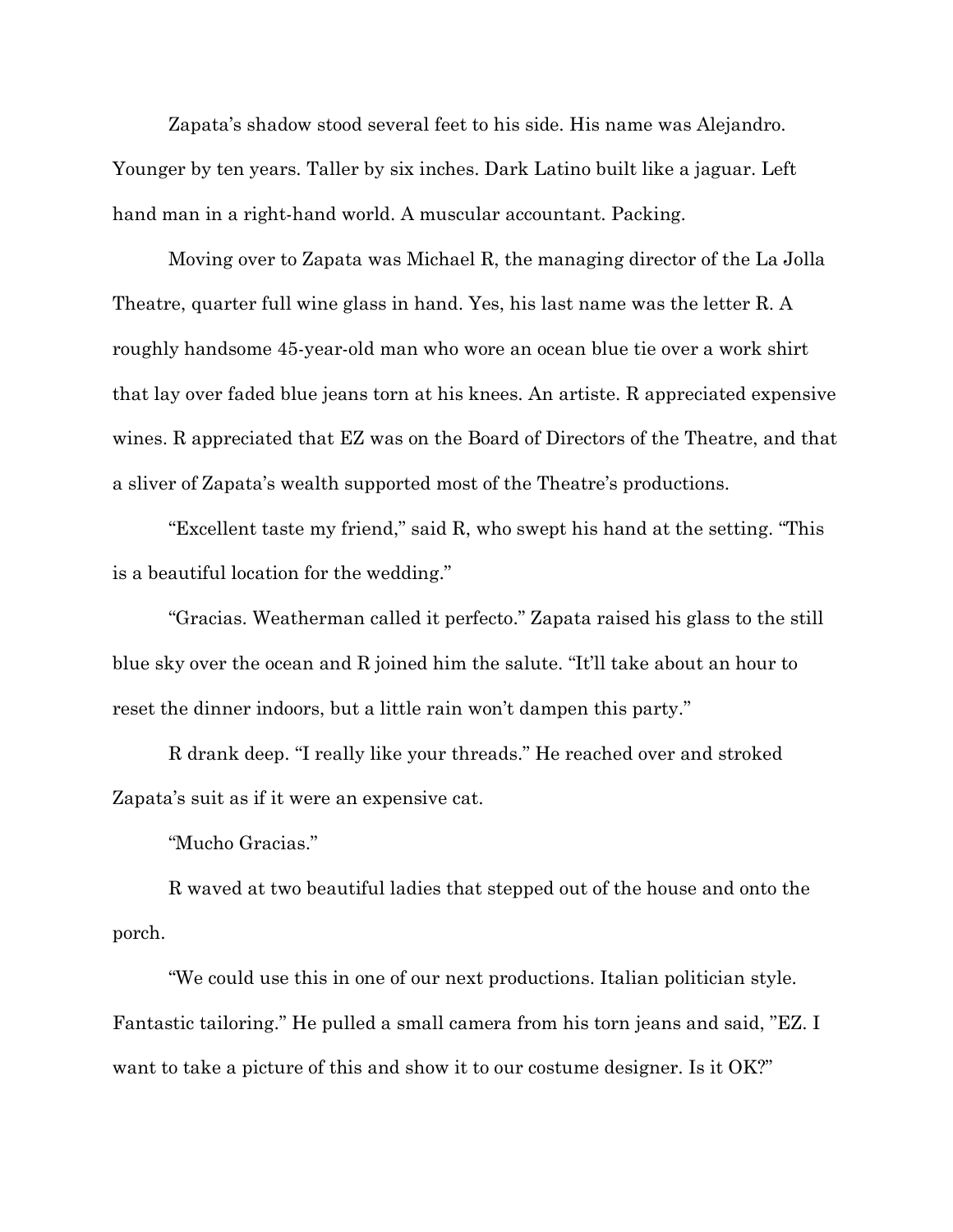Zapata's shadow stood several feet to his side. His name was Alejandro. Younger by ten years. Taller by six inches. Dark Latino built like a jaguar. Left hand man in a right-hand world. A muscular accountant. Packing.

Moving over to Zapata was Michael R, the managing director of the La Jolla Theatre, quarter full wine glass in hand. Yes, his last name was the letter R. A roughly handsome 45-year-old man who wore an ocean blue tie over a work shirt that lay over faded blue jeans torn at his knees. An artiste. R appreciated expensive wines. R appreciated that EZ was on the Board of Directors of the Theatre, and that a sliver of Zapata's wealth supported most of the Theatre's productions.

"Excellent taste my friend," said R, who swept his hand at the setting. "This is a beautiful location for the wedding."

"Gracias. Weatherman called it perfecto." Zapata raised his glass to the still blue sky over the ocean and R joined him the salute. "It'll take about an hour to reset the dinner indoors, but a little rain won't dampen this party."

R drank deep. "I really like your threads." He reached over and stroked Zapata's suit as if it were an expensive cat.

"Mucho Gracias."

R waved at two beautiful ladies that stepped out of the house and onto the porch.

"We could use this in one of our next productions. Italian politician style. Fantastic tailoring." He pulled a small camera from his torn jeans and said, "EZ. I want to take a picture of this and show it to our costume designer. Is it OK?"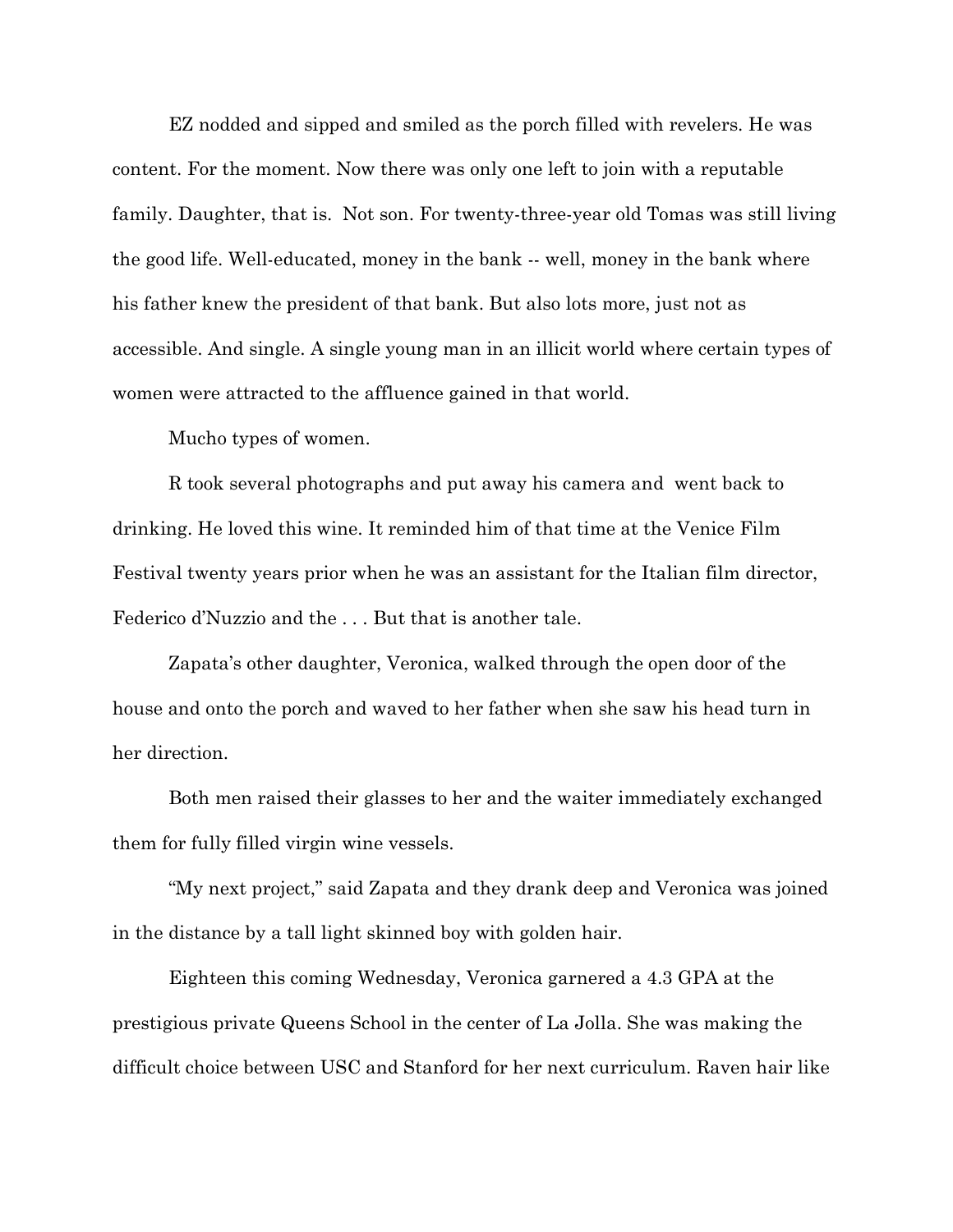EZ nodded and sipped and smiled as the porch filled with revelers. He was content. For the moment. Now there was only one left to join with a reputable family. Daughter, that is. Not son. For twenty-three-year old Tomas was still living the good life. Well-educated, money in the bank -- well, money in the bank where his father knew the president of that bank. But also lots more, just not as accessible. And single. A single young man in an illicit world where certain types of women were attracted to the affluence gained in that world.

Mucho types of women.

R took several photographs and put away his camera and went back to drinking. He loved this wine. It reminded him of that time at the Venice Film Festival twenty years prior when he was an assistant for the Italian film director, Federico d'Nuzzio and the . . . But that is another tale.

Zapata's other daughter, Veronica, walked through the open door of the house and onto the porch and waved to her father when she saw his head turn in her direction.

Both men raised their glasses to her and the waiter immediately exchanged them for fully filled virgin wine vessels.

"My next project," said Zapata and they drank deep and Veronica was joined in the distance by a tall light skinned boy with golden hair.

Eighteen this coming Wednesday, Veronica garnered a 4.3 GPA at the prestigious private Queens School in the center of La Jolla. She was making the difficult choice between USC and Stanford for her next curriculum. Raven hair like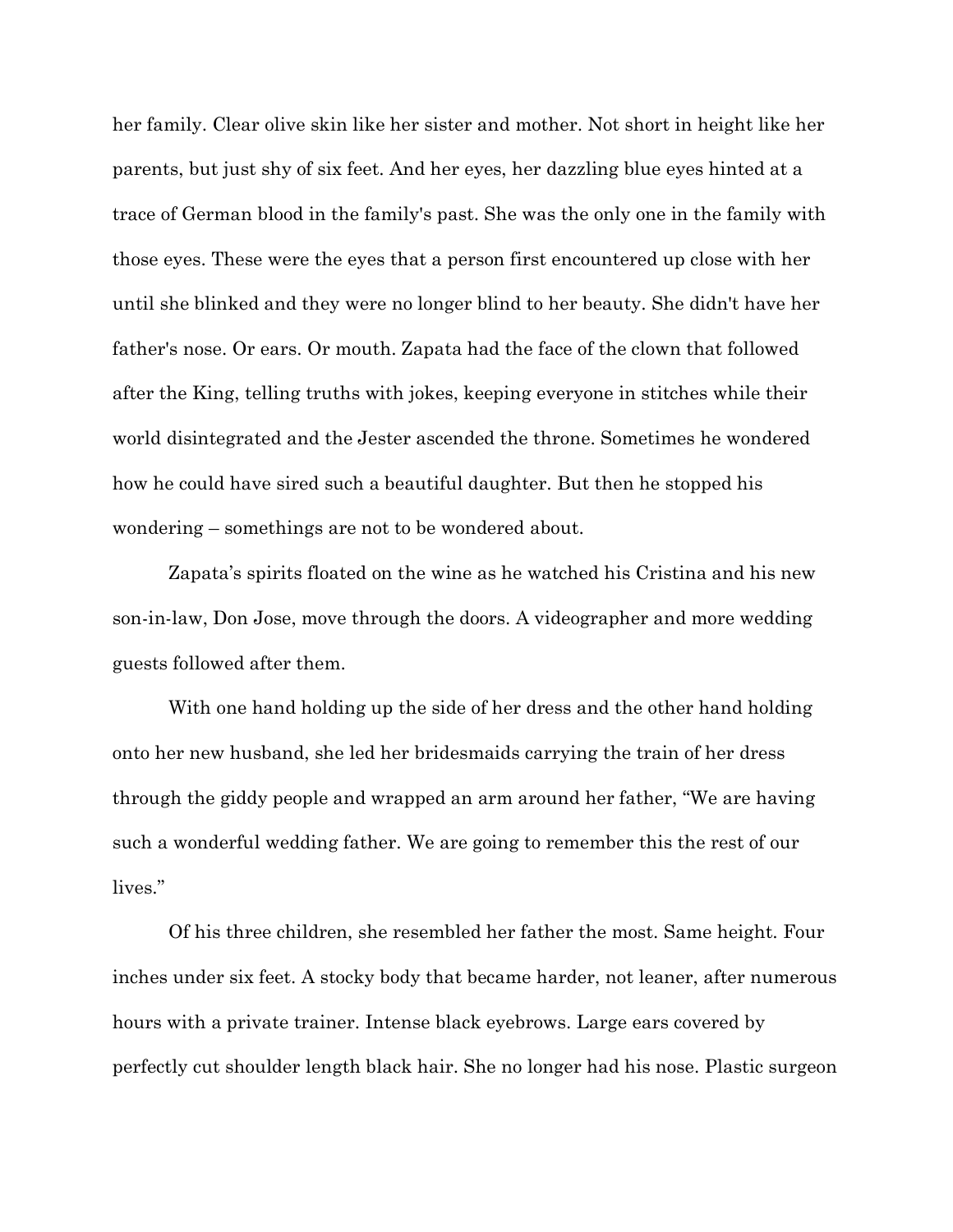her family. Clear olive skin like her sister and mother. Not short in height like her parents, but just shy of six feet. And her eyes, her dazzling blue eyes hinted at a trace of German blood in the family's past. She was the only one in the family with those eyes. These were the eyes that a person first encountered up close with her until she blinked and they were no longer blind to her beauty. She didn't have her father's nose. Or ears. Or mouth. Zapata had the face of the clown that followed after the King, telling truths with jokes, keeping everyone in stitches while their world disintegrated and the Jester ascended the throne. Sometimes he wondered how he could have sired such a beautiful daughter. But then he stopped his wondering – somethings are not to be wondered about.

Zapata's spirits floated on the wine as he watched his Cristina and his new son-in-law, Don Jose, move through the doors. A videographer and more wedding guests followed after them.

With one hand holding up the side of her dress and the other hand holding onto her new husband, she led her bridesmaids carrying the train of her dress through the giddy people and wrapped an arm around her father, "We are having such a wonderful wedding father. We are going to remember this the rest of our lives."

Of his three children, she resembled her father the most. Same height. Four inches under six feet. A stocky body that became harder, not leaner, after numerous hours with a private trainer. Intense black eyebrows. Large ears covered by perfectly cut shoulder length black hair. She no longer had his nose. Plastic surgeon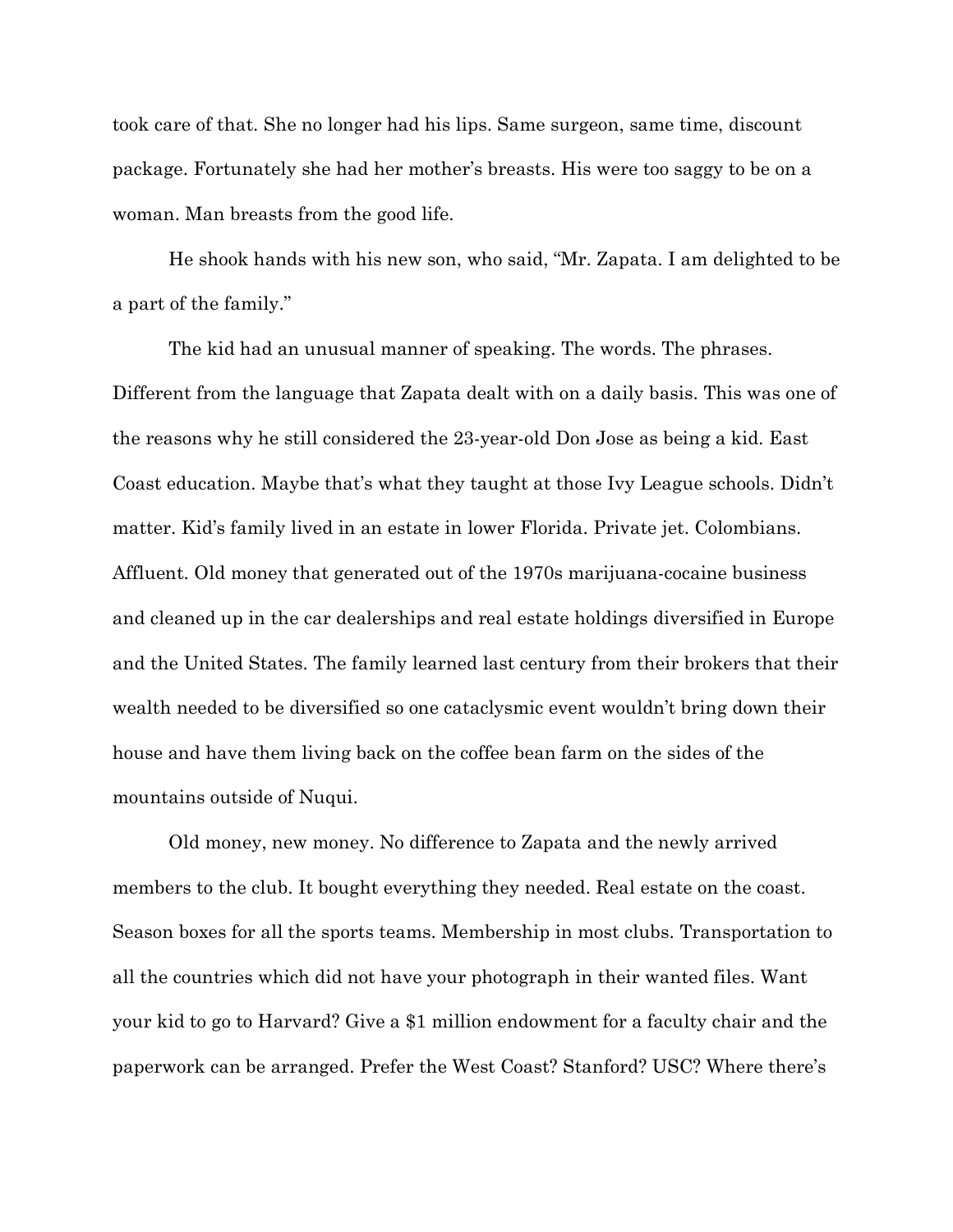took care of that. She no longer had his lips. Same surgeon, same time, discount package. Fortunately she had her mother's breasts. His were too saggy to be on a woman. Man breasts from the good life.

He shook hands with his new son, who said, "Mr. Zapata. I am delighted to be a part of the family."

The kid had an unusual manner of speaking. The words. The phrases. Different from the language that Zapata dealt with on a daily basis. This was one of the reasons why he still considered the 23-year-old Don Jose as being a kid. East Coast education. Maybe that's what they taught at those Ivy League schools. Didn't matter. Kid's family lived in an estate in lower Florida. Private jet. Colombians. Affluent. Old money that generated out of the 1970s marijuana-cocaine business and cleaned up in the car dealerships and real estate holdings diversified in Europe and the United States. The family learned last century from their brokers that their wealth needed to be diversified so one cataclysmic event wouldn't bring down their house and have them living back on the coffee bean farm on the sides of the mountains outside of Nuqui.

Old money, new money. No difference to Zapata and the newly arrived members to the club. It bought everything they needed. Real estate on the coast. Season boxes for all the sports teams. Membership in most clubs. Transportation to all the countries which did not have your photograph in their wanted files. Want your kid to go to Harvard? Give a \$1 million endowment for a faculty chair and the paperwork can be arranged. Prefer the West Coast? Stanford? USC? Where there's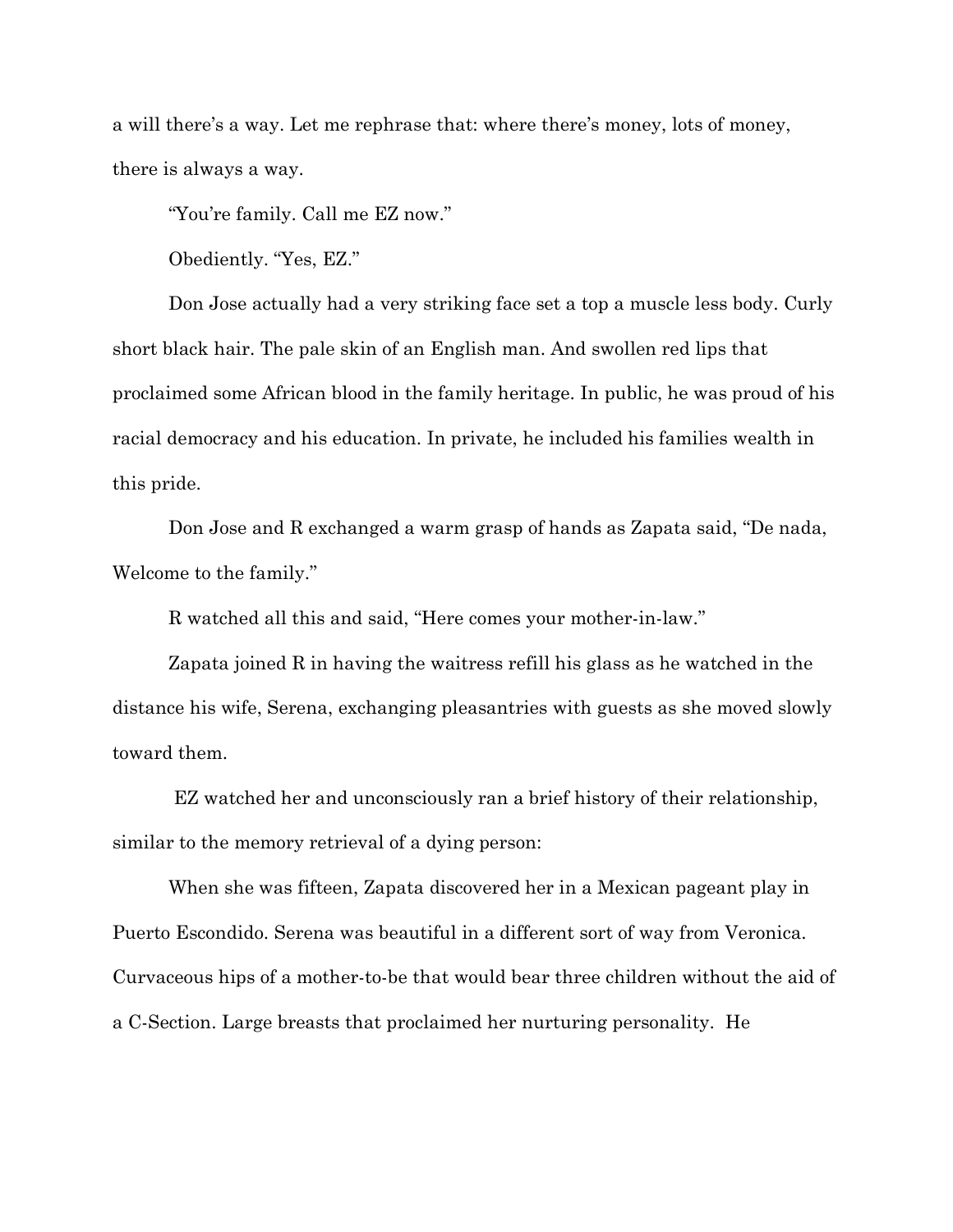a will there's a way. Let me rephrase that: where there's money, lots of money, there is always a way.

"You're family. Call me EZ now."

Obediently. "Yes, EZ."

Don Jose actually had a very striking face set a top a muscle less body. Curly short black hair. The pale skin of an English man. And swollen red lips that proclaimed some African blood in the family heritage. In public, he was proud of his racial democracy and his education. In private, he included his families wealth in this pride.

Don Jose and R exchanged a warm grasp of hands as Zapata said, "De nada, Welcome to the family."

R watched all this and said, "Here comes your mother-in-law."

Zapata joined R in having the waitress refill his glass as he watched in the distance his wife, Serena, exchanging pleasantries with guests as she moved slowly toward them.

EZ watched her and unconsciously ran a brief history of their relationship, similar to the memory retrieval of a dying person:

When she was fifteen, Zapata discovered her in a Mexican pageant play in Puerto Escondido. Serena was beautiful in a different sort of way from Veronica. Curvaceous hips of a mother-to-be that would bear three children without the aid of a C-Section. Large breasts that proclaimed her nurturing personality. He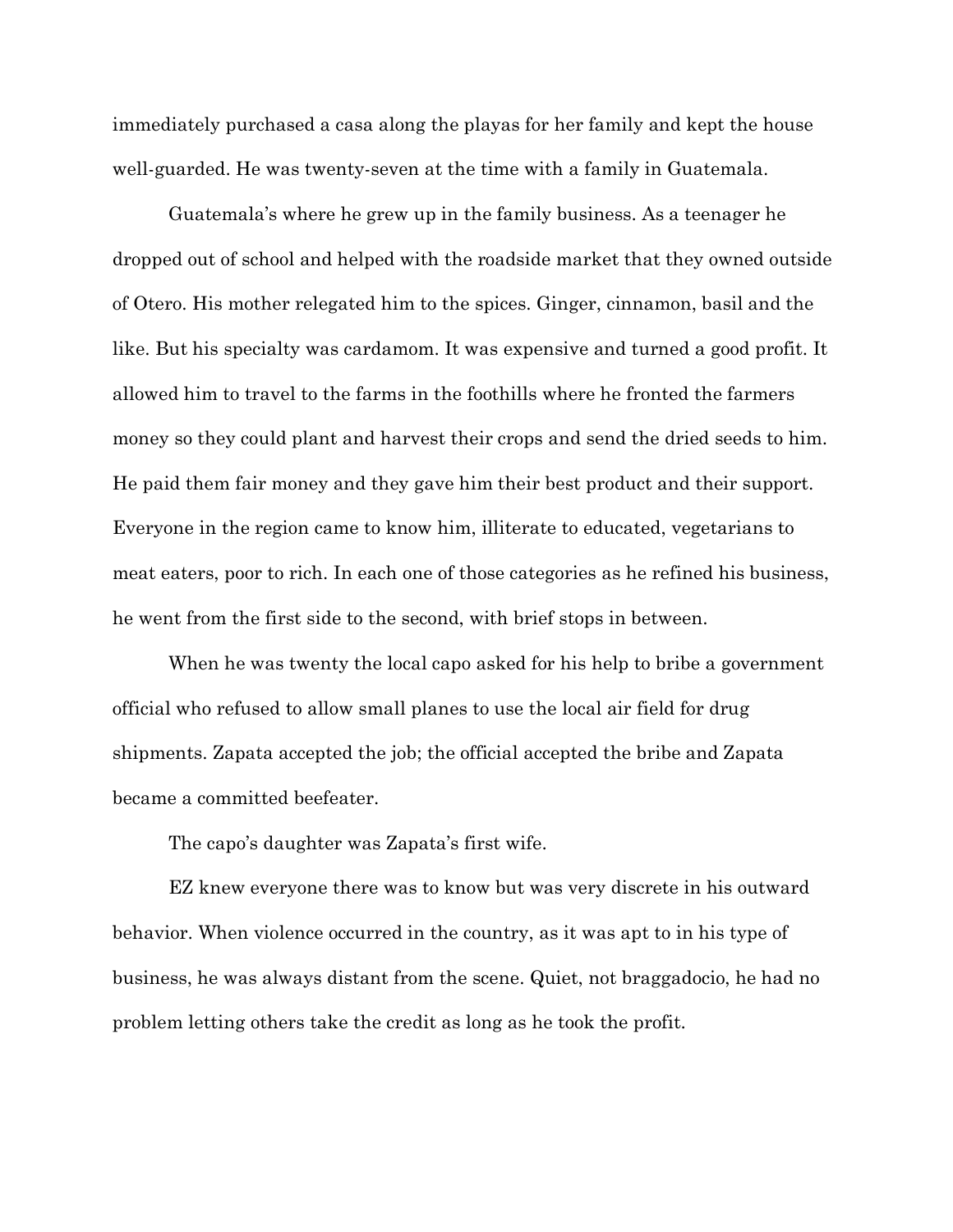immediately purchased a casa along the playas for her family and kept the house well-guarded. He was twenty-seven at the time with a family in Guatemala.

Guatemala's where he grew up in the family business. As a teenager he dropped out of school and helped with the roadside market that they owned outside of Otero. His mother relegated him to the spices. Ginger, cinnamon, basil and the like. But his specialty was cardamom. It was expensive and turned a good profit. It allowed him to travel to the farms in the foothills where he fronted the farmers money so they could plant and harvest their crops and send the dried seeds to him. He paid them fair money and they gave him their best product and their support. Everyone in the region came to know him, illiterate to educated, vegetarians to meat eaters, poor to rich. In each one of those categories as he refined his business, he went from the first side to the second, with brief stops in between.

When he was twenty the local capo asked for his help to bribe a government official who refused to allow small planes to use the local air field for drug shipments. Zapata accepted the job; the official accepted the bribe and Zapata became a committed beefeater.

The capo's daughter was Zapata's first wife.

EZ knew everyone there was to know but was very discrete in his outward behavior. When violence occurred in the country, as it was apt to in his type of business, he was always distant from the scene. Quiet, not braggadocio, he had no problem letting others take the credit as long as he took the profit.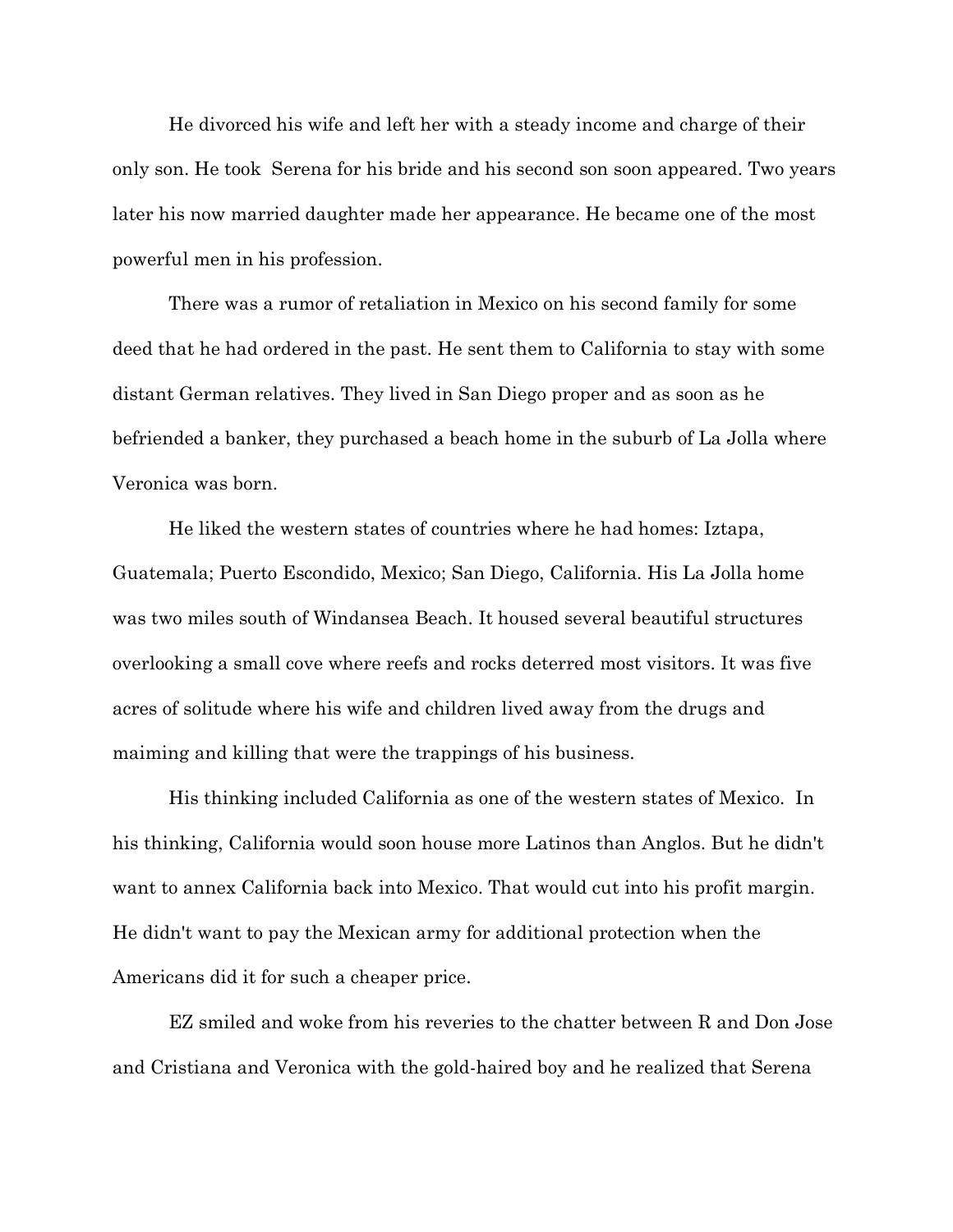He divorced his wife and left her with a steady income and charge of their only son. He took Serena for his bride and his second son soon appeared. Two years later his now married daughter made her appearance. He became one of the most powerful men in his profession.

There was a rumor of retaliation in Mexico on his second family for some deed that he had ordered in the past. He sent them to California to stay with some distant German relatives. They lived in San Diego proper and as soon as he befriended a banker, they purchased a beach home in the suburb of La Jolla where Veronica was born.

He liked the western states of countries where he had homes: Iztapa, Guatemala; Puerto Escondido, Mexico; San Diego, California. His La Jolla home was two miles south of Windansea Beach. It housed several beautiful structures overlooking a small cove where reefs and rocks deterred most visitors. It was five acres of solitude where his wife and children lived away from the drugs and maiming and killing that were the trappings of his business.

His thinking included California as one of the western states of Mexico. In his thinking, California would soon house more Latinos than Anglos. But he didn't want to annex California back into Mexico. That would cut into his profit margin. He didn't want to pay the Mexican army for additional protection when the Americans did it for such a cheaper price.

EZ smiled and woke from his reveries to the chatter between R and Don Jose and Cristiana and Veronica with the gold-haired boy and he realized that Serena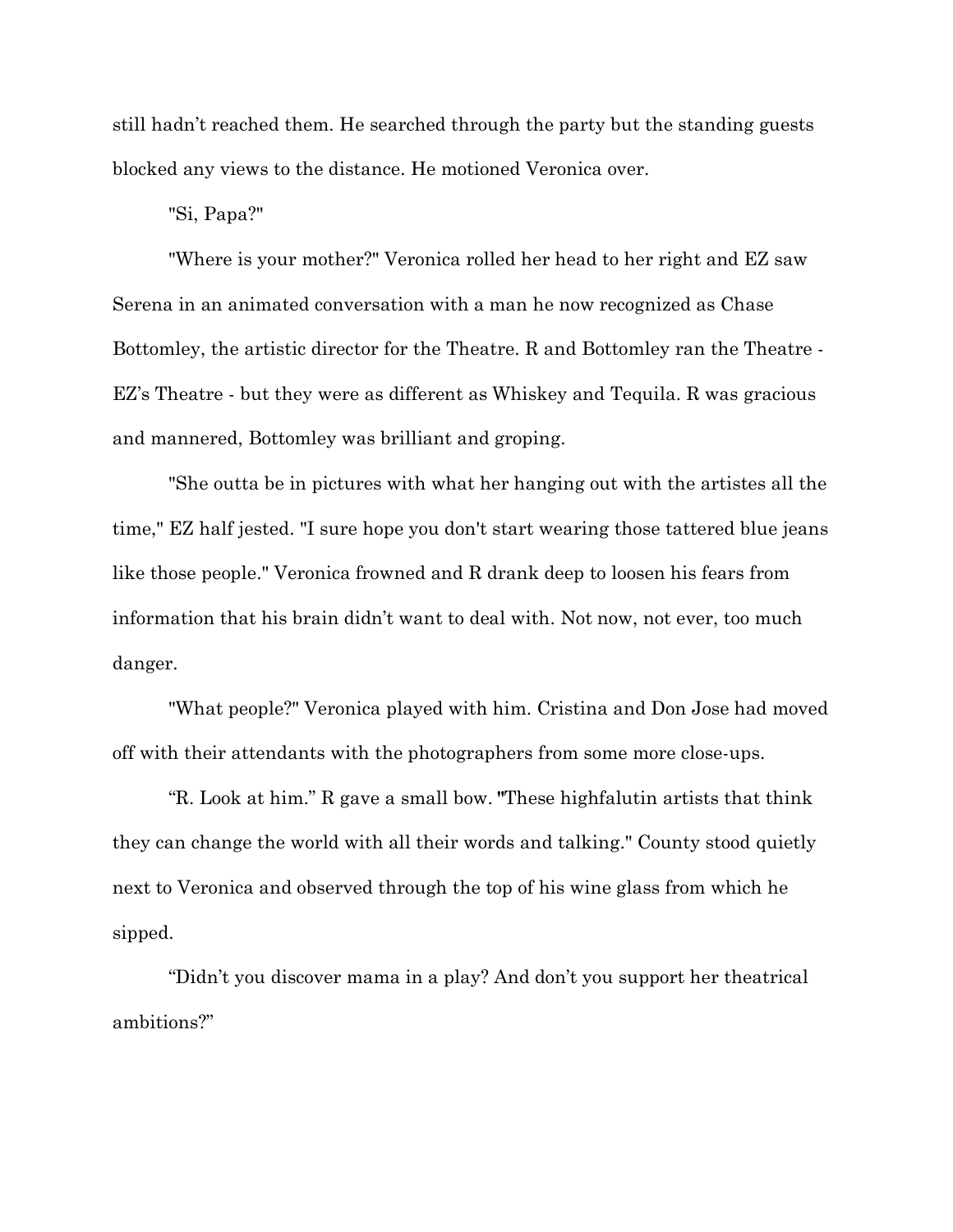still hadn't reached them. He searched through the party but the standing guests blocked any views to the distance. He motioned Veronica over.

"Si, Papa?"

"Where is your mother?" Veronica rolled her head to her right and EZ saw Serena in an animated conversation with a man he now recognized as Chase Bottomley, the artistic director for the Theatre. R and Bottomley ran the Theatre - EZ's Theatre - but they were as different as Whiskey and Tequila. R was gracious and mannered, Bottomley was brilliant and groping.

"She outta be in pictures with what her hanging out with the artistes all the time," EZ half jested. "I sure hope you don't start wearing those tattered blue jeans like those people." Veronica frowned and R drank deep to loosen his fears from information that his brain didn't want to deal with. Not now, not ever, too much danger.

"What people?" Veronica played with him. Cristina and Don Jose had moved off with their attendants with the photographers from some more close-ups.

"R. Look at him." R gave a small bow. **"**These highfalutin artists that think they can change the world with all their words and talking." County stood quietly next to Veronica and observed through the top of his wine glass from which he sipped.

"Didn't you discover mama in a play? And don't you support her theatrical ambitions?"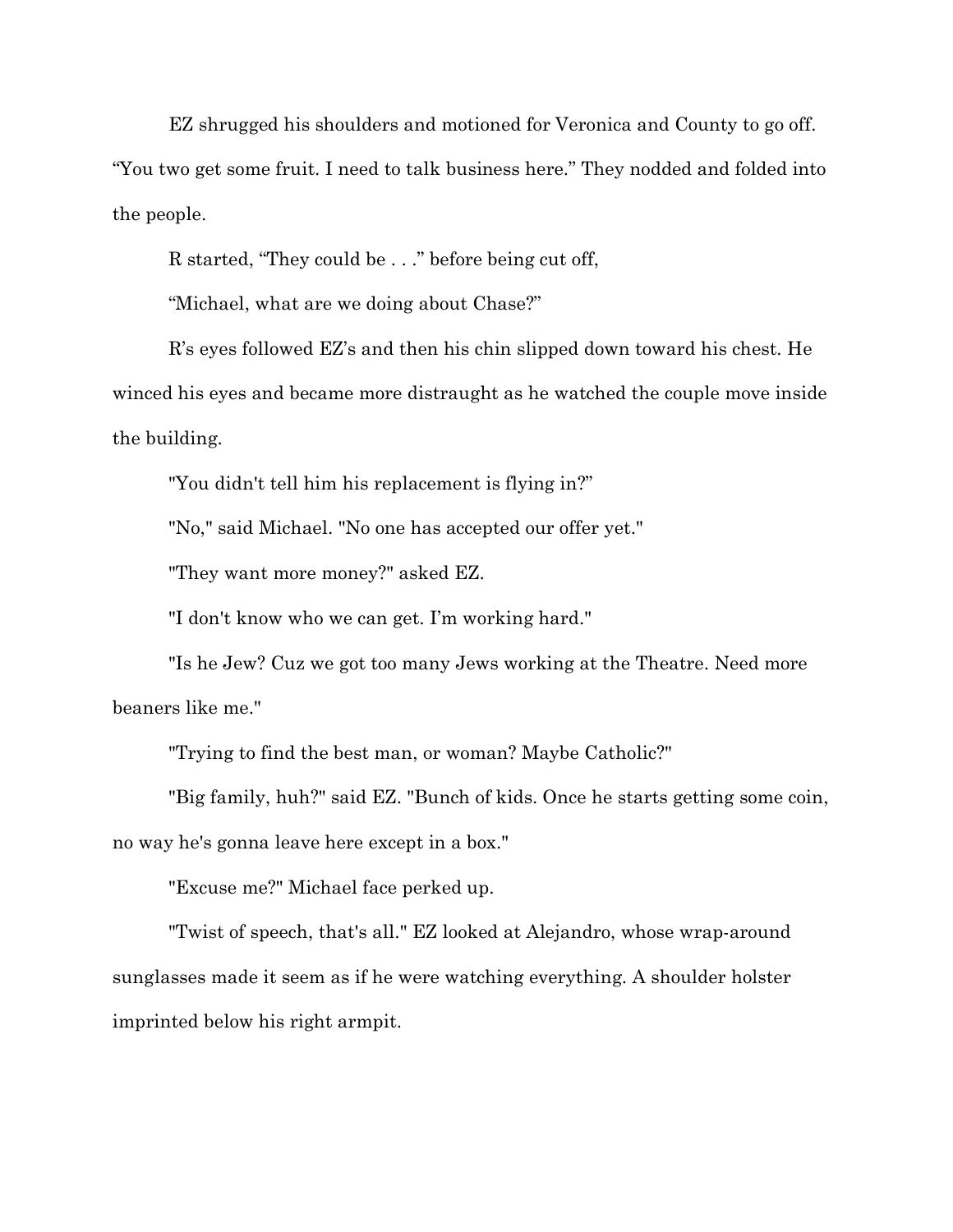EZ shrugged his shoulders and motioned for Veronica and County to go off.

"You two get some fruit. I need to talk business here." They nodded and folded into the people.

R started, "They could be . . ." before being cut off,

"Michael, what are we doing about Chase?"

R's eyes followed EZ's and then his chin slipped down toward his chest. He winced his eyes and became more distraught as he watched the couple move inside the building.

"You didn't tell him his replacement is flying in?"

"No," said Michael. "No one has accepted our offer yet."

"They want more money?" asked EZ.

"I don't know who we can get. I'm working hard."

"Is he Jew? Cuz we got too many Jews working at the Theatre. Need more beaners like me."

"Trying to find the best man, or woman? Maybe Catholic?"

"Big family, huh?" said EZ. "Bunch of kids. Once he starts getting some coin, no way he's gonna leave here except in a box."

"Excuse me?" Michael face perked up.

"Twist of speech, that's all." EZ looked at Alejandro, whose wrap-around sunglasses made it seem as if he were watching everything. A shoulder holster imprinted below his right armpit.